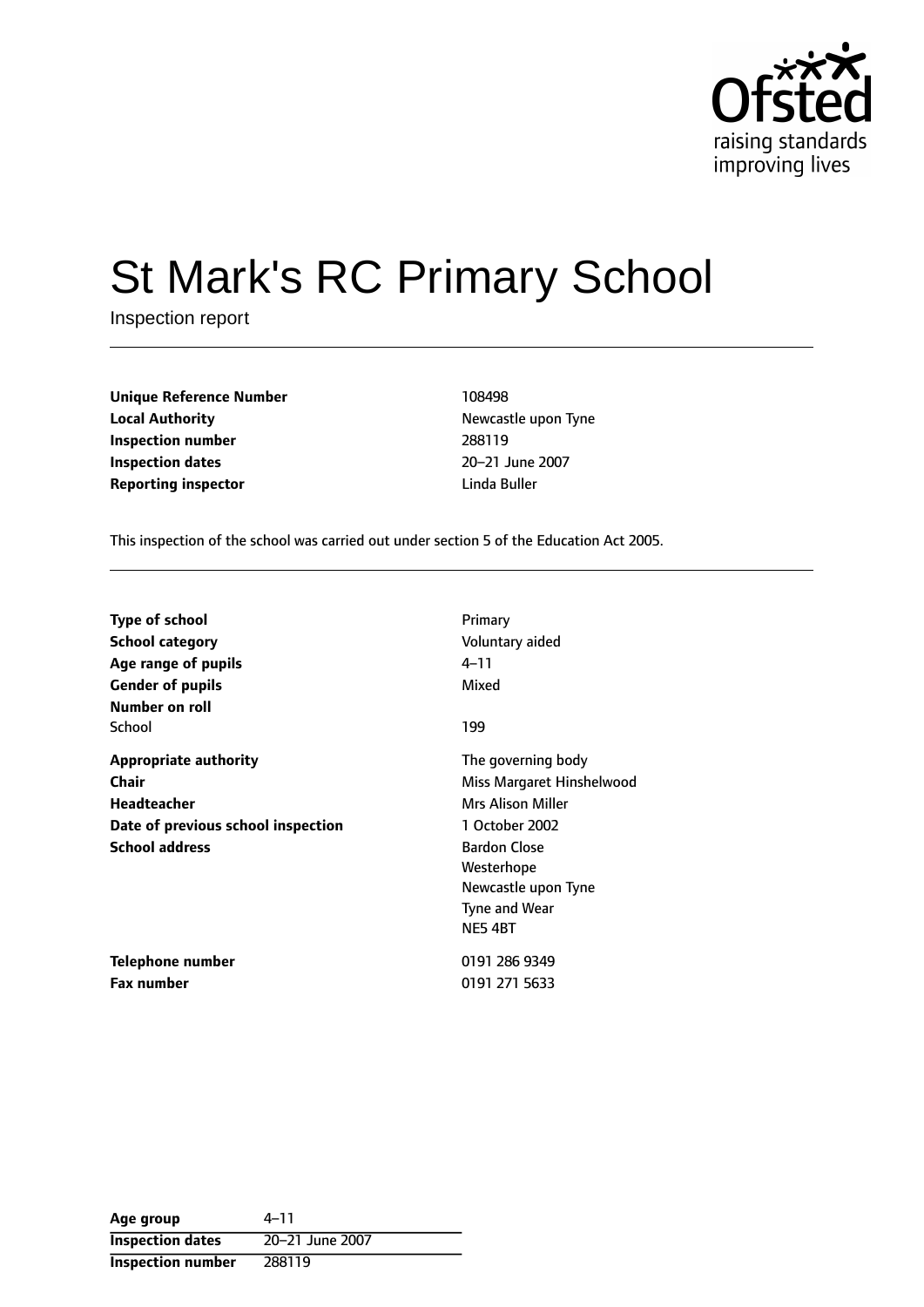

# St Mark's RC Primary School

Inspection report

| <b>Unique Reference Number</b> | 108498       |
|--------------------------------|--------------|
| <b>Local Authority</b>         | Newcastle up |
| Inspection number              | 288119       |
| <b>Inspection dates</b>        | 20-21 June   |
| <b>Reporting inspector</b>     | Linda Buller |

**Newcastle upon Tyne Inspection number** 288119 **Inspection dates** 2021 June 2007

This inspection of the school was carried out under section 5 of the Education Act 2005.

| <b>Type of school</b>                                                                                               | Primary                                                                                                                                                                              |
|---------------------------------------------------------------------------------------------------------------------|--------------------------------------------------------------------------------------------------------------------------------------------------------------------------------------|
| School category                                                                                                     | Voluntary aided                                                                                                                                                                      |
| Age range of pupils                                                                                                 | 4–11                                                                                                                                                                                 |
| <b>Gender of pupils</b>                                                                                             | Mixed                                                                                                                                                                                |
| Number on roll<br>School                                                                                            | 199                                                                                                                                                                                  |
| <b>Appropriate authority</b><br>Chair<br>Headteacher<br>Date of previous school inspection<br><b>School address</b> | The governing body<br>Miss Margaret Hinshelwood<br>Mrs Alison Miller<br>1 October 2002<br><b>Bardon Close</b><br>Westerhope<br>Newcastle upon Tyne<br><b>Tyne and Wear</b><br>NE54BT |
| Telephone number                                                                                                    | 0191 286 9349                                                                                                                                                                        |
| <b>Fax number</b>                                                                                                   | 0191 271 5633                                                                                                                                                                        |

| Age group                | $4 - 11$        |
|--------------------------|-----------------|
| <b>Inspection dates</b>  | 20-21 June 2007 |
| <b>Inspection number</b> | 288119          |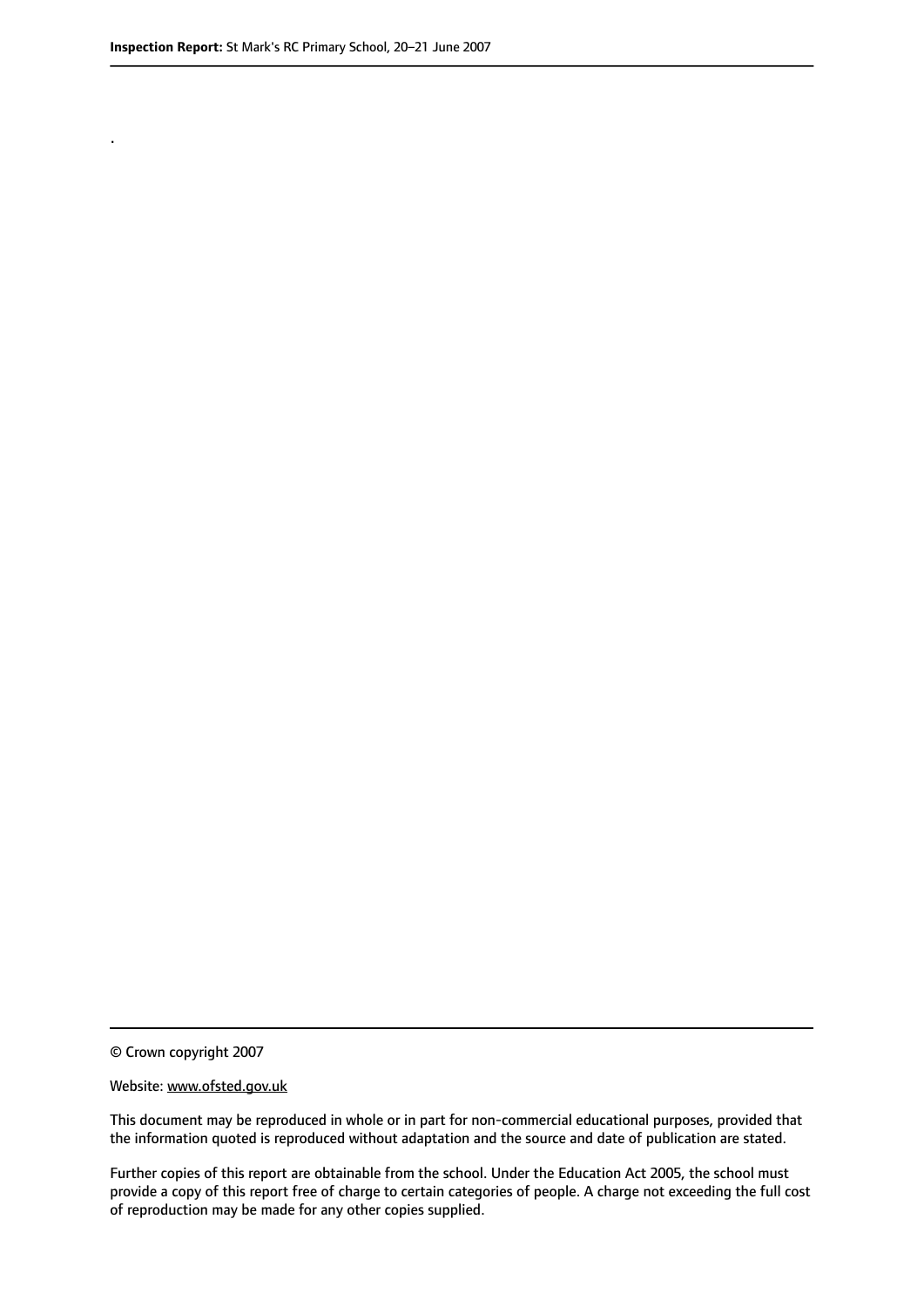.

© Crown copyright 2007

#### Website: www.ofsted.gov.uk

This document may be reproduced in whole or in part for non-commercial educational purposes, provided that the information quoted is reproduced without adaptation and the source and date of publication are stated.

Further copies of this report are obtainable from the school. Under the Education Act 2005, the school must provide a copy of this report free of charge to certain categories of people. A charge not exceeding the full cost of reproduction may be made for any other copies supplied.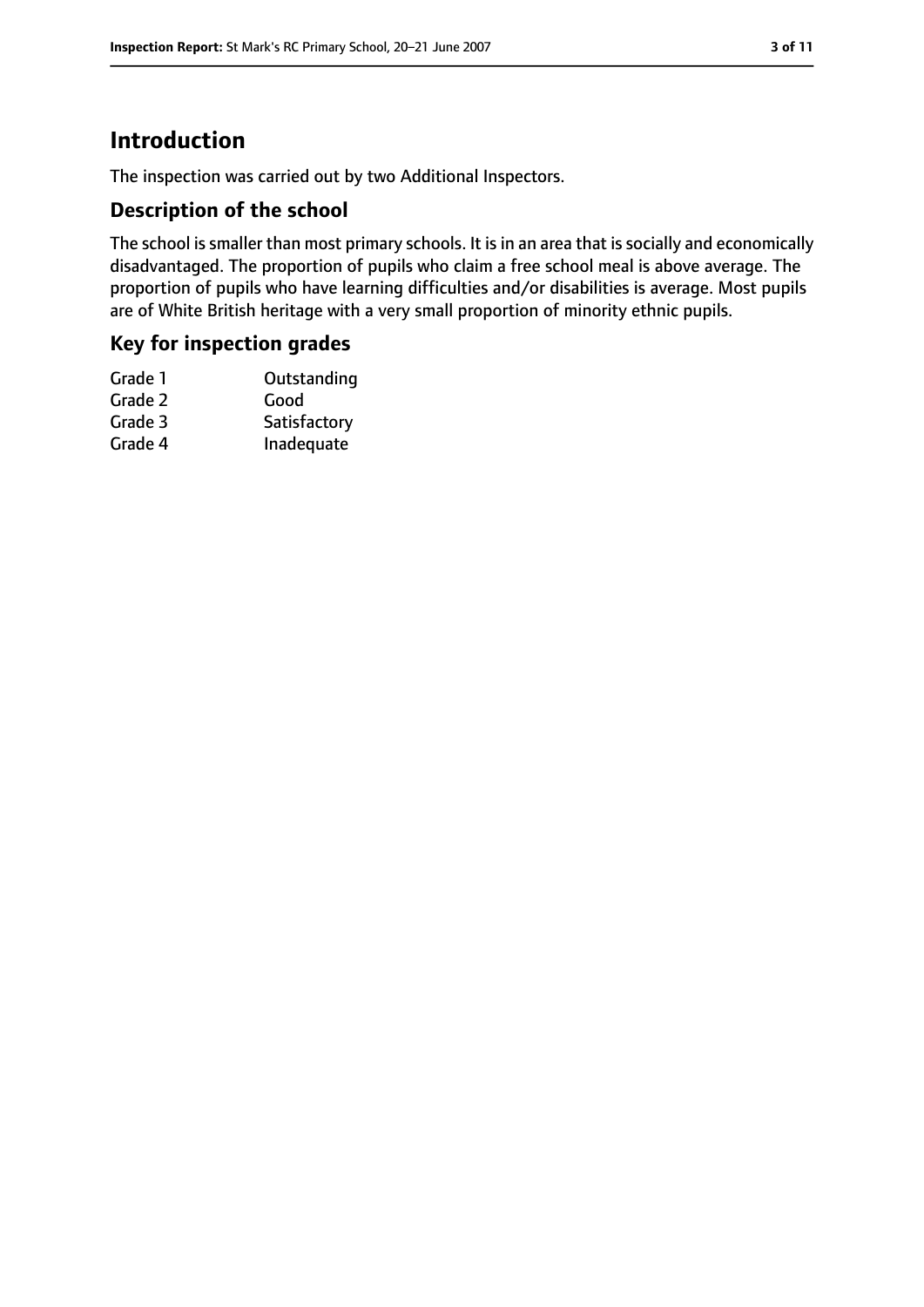# **Introduction**

The inspection was carried out by two Additional Inspectors.

### **Description of the school**

The school is smaller than most primary schools. It is in an area that is socially and economically disadvantaged. The proportion of pupils who claim a free school meal is above average. The proportion of pupils who have learning difficulties and/or disabilities is average. Most pupils are of White British heritage with a very small proportion of minority ethnic pupils.

#### **Key for inspection grades**

| Grade 1 | Outstanding  |
|---------|--------------|
| Grade 2 | Good         |
| Grade 3 | Satisfactory |
| Grade 4 | Inadequate   |
|         |              |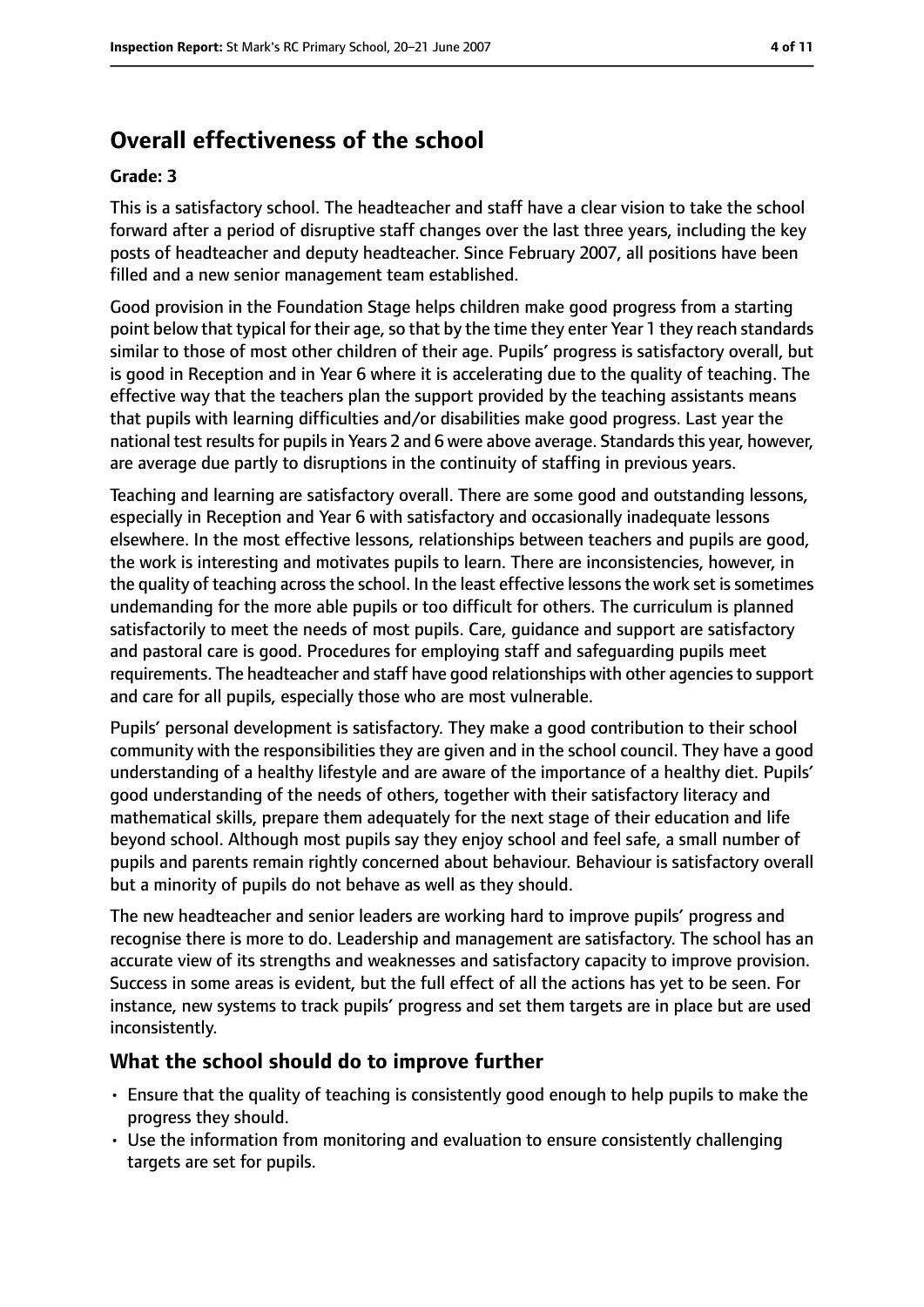# **Overall effectiveness of the school**

#### **Grade: 3**

This is a satisfactory school. The headteacher and staff have a clear vision to take the school forward after a period of disruptive staff changes over the last three years, including the key posts of headteacher and deputy headteacher. Since February 2007, all positions have been filled and a new senior management team established.

Good provision in the Foundation Stage helps children make good progress from a starting point below that typical for their age, so that by the time they enter Year 1 they reach standards similar to those of most other children of their age. Pupils' progress is satisfactory overall, but is good in Reception and in Year 6 where it is accelerating due to the quality of teaching. The effective way that the teachers plan the support provided by the teaching assistants means that pupils with learning difficulties and/or disabilities make good progress. Last year the national test results for pupils in Years 2 and 6 were above average. Standards this year, however, are average due partly to disruptions in the continuity of staffing in previous years.

Teaching and learning are satisfactory overall. There are some good and outstanding lessons, especially in Reception and Year 6 with satisfactory and occasionally inadequate lessons elsewhere. In the most effective lessons, relationships between teachers and pupils are good, the work is interesting and motivates pupils to learn. There are inconsistencies, however, in the quality of teaching across the school. In the least effective lessons the work set is sometimes undemanding for the more able pupils or too difficult for others. The curriculum is planned satisfactorily to meet the needs of most pupils. Care, guidance and support are satisfactory and pastoral care is good. Procedures for employing staff and safeguarding pupils meet requirements. The headteacher and staff have good relationships with other agencies to support and care for all pupils, especially those who are most vulnerable.

Pupils' personal development is satisfactory. They make a good contribution to their school community with the responsibilities they are given and in the school council. They have a good understanding of a healthy lifestyle and are aware of the importance of a healthy diet. Pupils' good understanding of the needs of others, together with their satisfactory literacy and mathematical skills, prepare them adequately for the next stage of their education and life beyond school. Although most pupils say they enjoy school and feel safe, a small number of pupils and parents remain rightly concerned about behaviour. Behaviour is satisfactory overall but a minority of pupils do not behave as well as they should.

The new headteacher and senior leaders are working hard to improve pupils' progress and recognise there is more to do. Leadership and management are satisfactory. The school has an accurate view of its strengths and weaknesses and satisfactory capacity to improve provision. Success in some areas is evident, but the full effect of all the actions has yet to be seen. For instance, new systems to track pupils' progress and set them targets are in place but are used inconsistently.

#### **What the school should do to improve further**

- Ensure that the quality of teaching is consistently good enough to help pupils to make the progress they should.
- Use the information from monitoring and evaluation to ensure consistently challenging targets are set for pupils.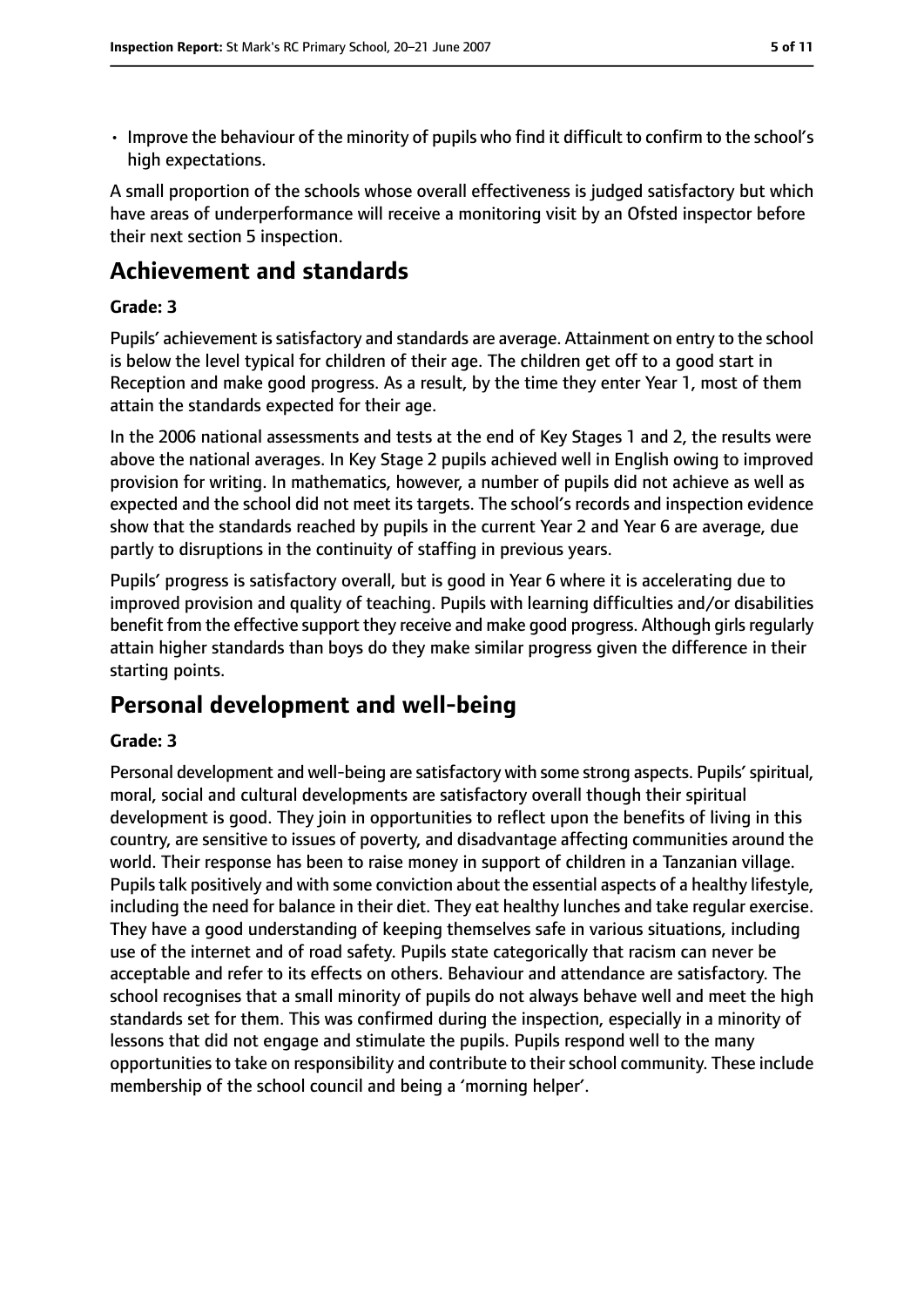• Improve the behaviour of the minority of pupils who find it difficult to confirm to the school's high expectations.

A small proportion of the schools whose overall effectiveness is judged satisfactory but which have areas of underperformance will receive a monitoring visit by an Ofsted inspector before their next section 5 inspection.

# **Achievement and standards**

#### **Grade: 3**

Pupils' achievement issatisfactory and standards are average. Attainment on entry to the school is below the level typical for children of their age. The children get off to a good start in Reception and make good progress. As a result, by the time they enter Year 1, most of them attain the standards expected for their age.

In the 2006 national assessments and tests at the end of Key Stages 1 and 2, the results were above the national averages. In Key Stage 2 pupils achieved well in English owing to improved provision for writing. In mathematics, however, a number of pupils did not achieve as well as expected and the school did not meet its targets. The school's records and inspection evidence show that the standards reached by pupils in the current Year 2 and Year 6 are average, due partly to disruptions in the continuity of staffing in previous years.

Pupils' progress is satisfactory overall, but is good in Year 6 where it is accelerating due to improved provision and quality of teaching. Pupils with learning difficulties and/or disabilities benefit from the effective support they receive and make good progress. Although girlsregularly attain higher standards than boys do they make similar progress given the difference in their starting points.

# **Personal development and well-being**

#### **Grade: 3**

Personal development and well-being are satisfactory with some strong aspects. Pupils' spiritual, moral, social and cultural developments are satisfactory overall though their spiritual development is good. They join in opportunities to reflect upon the benefits of living in this country, are sensitive to issues of poverty, and disadvantage affecting communities around the world. Their response has been to raise money in support of children in a Tanzanian village. Pupils talk positively and with some conviction about the essential aspects of a healthy lifestyle, including the need for balance in their diet. They eat healthy lunches and take regular exercise. They have a good understanding of keeping themselves safe in various situations, including use of the internet and of road safety. Pupils state categorically that racism can never be acceptable and refer to its effects on others. Behaviour and attendance are satisfactory. The school recognises that a small minority of pupils do not always behave well and meet the high standards set for them. This was confirmed during the inspection, especially in a minority of lessons that did not engage and stimulate the pupils. Pupils respond well to the many opportunities to take on responsibility and contribute to their school community. These include membership of the school council and being a 'morning helper'.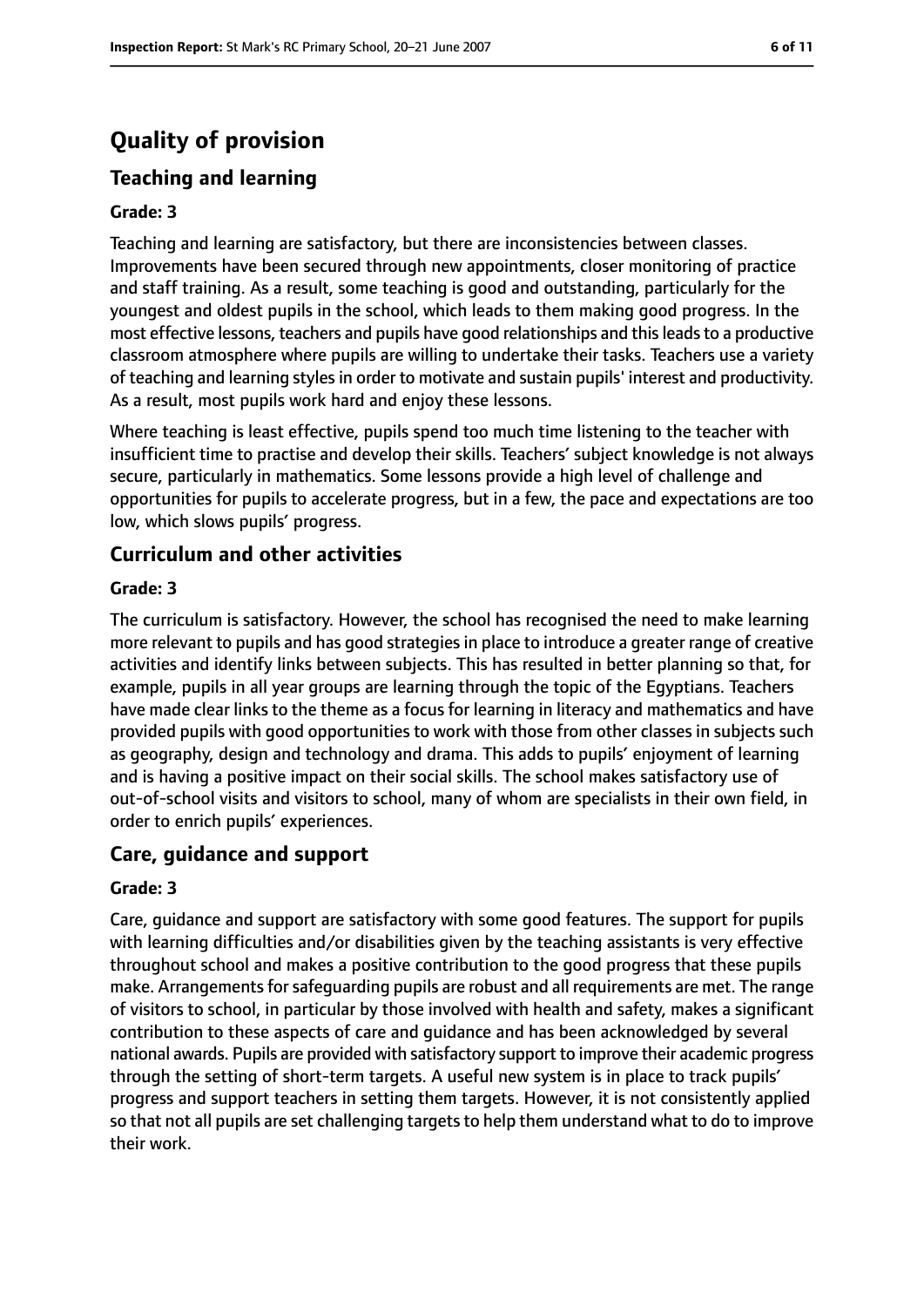# **Quality of provision**

# **Teaching and learning**

#### **Grade: 3**

Teaching and learning are satisfactory, but there are inconsistencies between classes. Improvements have been secured through new appointments, closer monitoring of practice and staff training. As a result, some teaching is good and outstanding, particularly for the youngest and oldest pupils in the school, which leads to them making good progress. In the most effective lessons, teachers and pupils have good relationships and thisleadsto a productive classroom atmosphere where pupils are willing to undertake their tasks. Teachers use a variety of teaching and learning stylesin order to motivate and sustain pupils' interest and productivity. As a result, most pupils work hard and enjoy these lessons.

Where teaching is least effective, pupils spend too much time listening to the teacher with insufficient time to practise and develop their skills. Teachers' subject knowledge is not always secure, particularly in mathematics. Some lessons provide a high level of challenge and opportunities for pupils to accelerate progress, but in a few, the pace and expectations are too low, which slows pupils' progress.

### **Curriculum and other activities**

#### **Grade: 3**

The curriculum is satisfactory. However, the school has recognised the need to make learning more relevant to pupils and has good strategies in place to introduce a greater range of creative activities and identify links between subjects. This has resulted in better planning so that, for example, pupils in all year groups are learning through the topic of the Egyptians. Teachers have made clear links to the theme as a focus for learning in literacy and mathematics and have provided pupils with good opportunities to work with those from other classes in subjects such as geography, design and technology and drama. This adds to pupils' enjoyment of learning and is having a positive impact on their social skills. The school makes satisfactory use of out-of-school visits and visitors to school, many of whom are specialists in their own field, in order to enrich pupils' experiences.

#### **Care, guidance and support**

#### **Grade: 3**

Care, guidance and support are satisfactory with some good features. The support for pupils with learning difficulties and/or disabilities given by the teaching assistants is very effective throughout school and makes a positive contribution to the good progress that these pupils make. Arrangements for safeguarding pupils are robust and all requirements are met. The range of visitors to school, in particular by those involved with health and safety, makes a significant contribution to these aspects of care and guidance and has been acknowledged by several national awards. Pupils are provided with satisfactory support to improve their academic progress through the setting of short-term targets. A useful new system is in place to track pupils' progress and support teachers in setting them targets. However, it is not consistently applied so that not all pupils are set challenging targets to help them understand what to do to improve their work.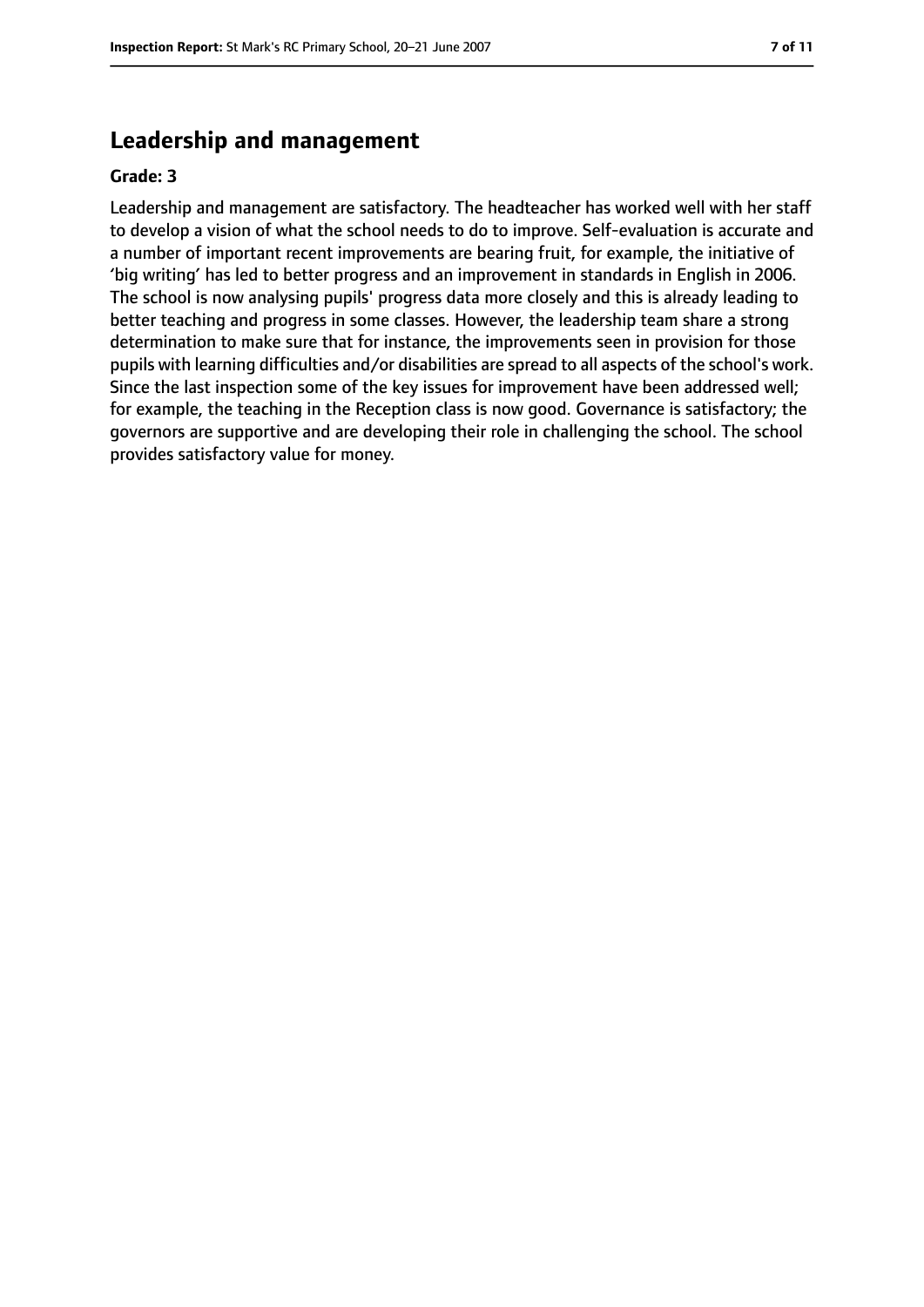# **Leadership and management**

#### **Grade: 3**

Leadership and management are satisfactory. The headteacher has worked well with her staff to develop a vision of what the school needs to do to improve. Self-evaluation is accurate and a number of important recent improvements are bearing fruit, for example, the initiative of 'big writing' has led to better progress and an improvement in standards in English in 2006. The school is now analysing pupils' progress data more closely and this is already leading to better teaching and progress in some classes. However, the leadership team share a strong determination to make sure that for instance, the improvements seen in provision for those pupils with learning difficulties and/or disabilities are spread to all aspects of the school's work. Since the last inspection some of the key issues for improvement have been addressed well; for example, the teaching in the Reception class is now good. Governance is satisfactory; the governors are supportive and are developing their role in challenging the school. The school provides satisfactory value for money.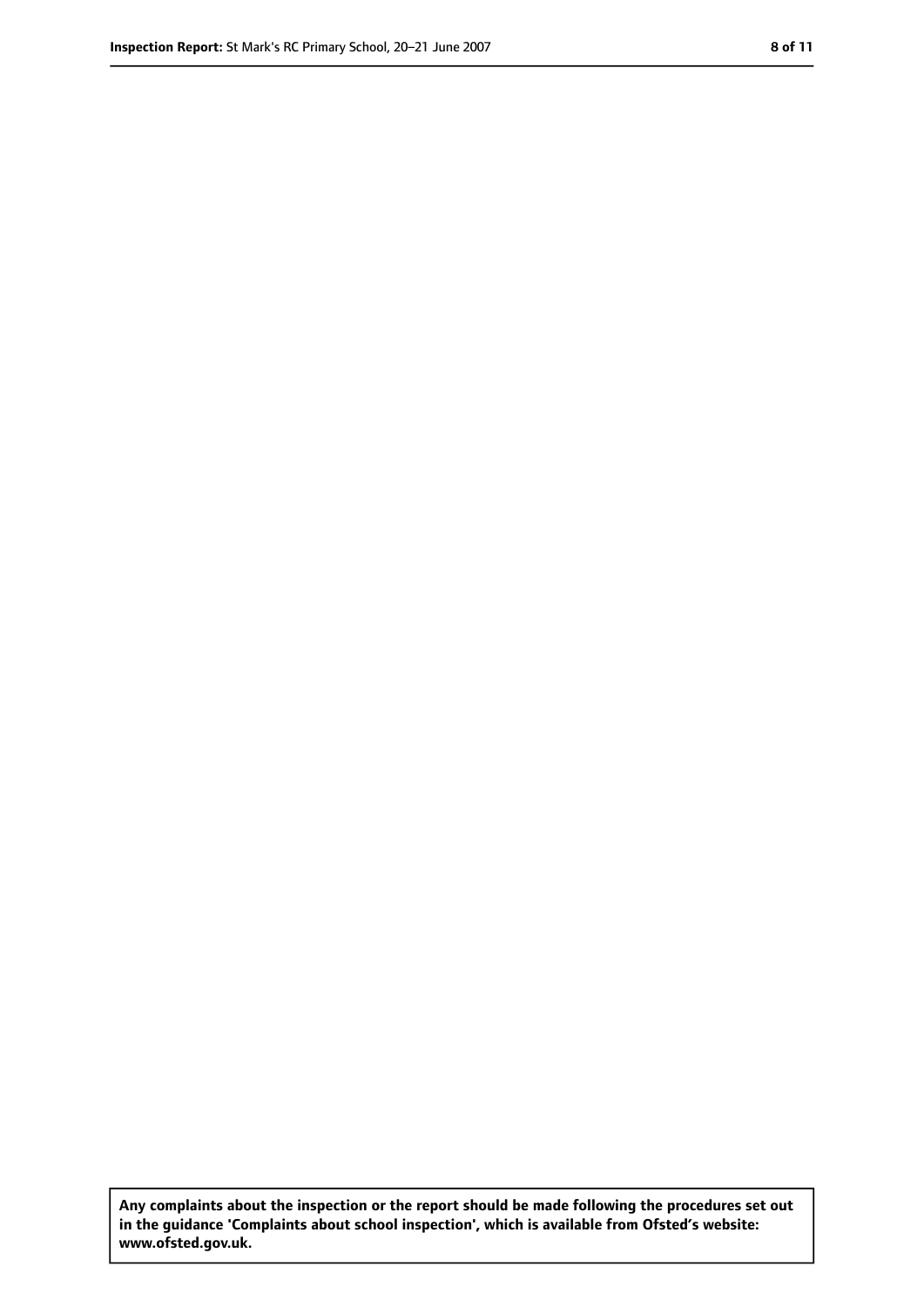**Any complaints about the inspection or the report should be made following the procedures set out in the guidance 'Complaints about school inspection', which is available from Ofsted's website: www.ofsted.gov.uk.**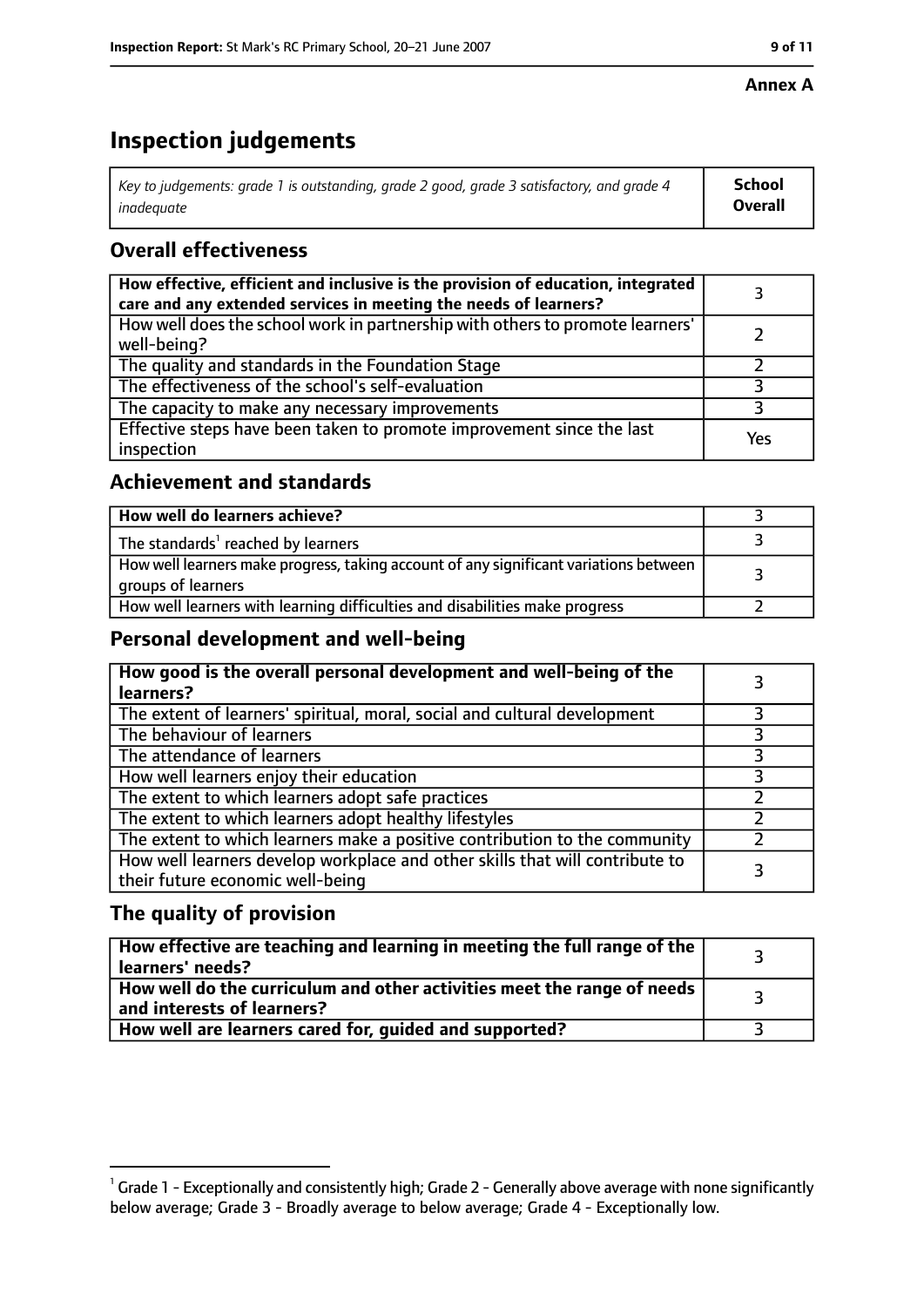#### **Annex A**

# **Inspection judgements**

| Key to judgements: grade 1 is outstanding, grade 2 good, grade 3 satisfactory, and grade 4 $\,$ | <b>School</b>  |
|-------------------------------------------------------------------------------------------------|----------------|
| inadequate                                                                                      | <b>Overall</b> |

# **Overall effectiveness**

| How effective, efficient and inclusive is the provision of education, integrated<br>care and any extended services in meeting the needs of learners? |     |
|------------------------------------------------------------------------------------------------------------------------------------------------------|-----|
| How well does the school work in partnership with others to promote learners'<br>well-being?                                                         |     |
| The quality and standards in the Foundation Stage                                                                                                    |     |
| The effectiveness of the school's self-evaluation                                                                                                    |     |
| The capacity to make any necessary improvements                                                                                                      |     |
| Effective steps have been taken to promote improvement since the last<br>inspection                                                                  | Yes |

# **Achievement and standards**

| How well do learners achieve?                                                                               |  |
|-------------------------------------------------------------------------------------------------------------|--|
| The standards <sup>1</sup> reached by learners                                                              |  |
| How well learners make progress, taking account of any significant variations between<br>groups of learners |  |
| How well learners with learning difficulties and disabilities make progress                                 |  |

# **Personal development and well-being**

| How good is the overall personal development and well-being of the<br>learners?                                  |  |
|------------------------------------------------------------------------------------------------------------------|--|
| The extent of learners' spiritual, moral, social and cultural development                                        |  |
| The behaviour of learners                                                                                        |  |
| The attendance of learners                                                                                       |  |
| How well learners enjoy their education                                                                          |  |
| The extent to which learners adopt safe practices                                                                |  |
| The extent to which learners adopt healthy lifestyles                                                            |  |
| The extent to which learners make a positive contribution to the community                                       |  |
| How well learners develop workplace and other skills that will contribute to<br>their future economic well-being |  |

# **The quality of provision**

| How effective are teaching and learning in meeting the full range of the<br>learners' needs?          |  |
|-------------------------------------------------------------------------------------------------------|--|
| How well do the curriculum and other activities meet the range of needs<br>and interests of learners? |  |
| How well are learners cared for, guided and supported?                                                |  |

 $^1$  Grade 1 - Exceptionally and consistently high; Grade 2 - Generally above average with none significantly below average; Grade 3 - Broadly average to below average; Grade 4 - Exceptionally low.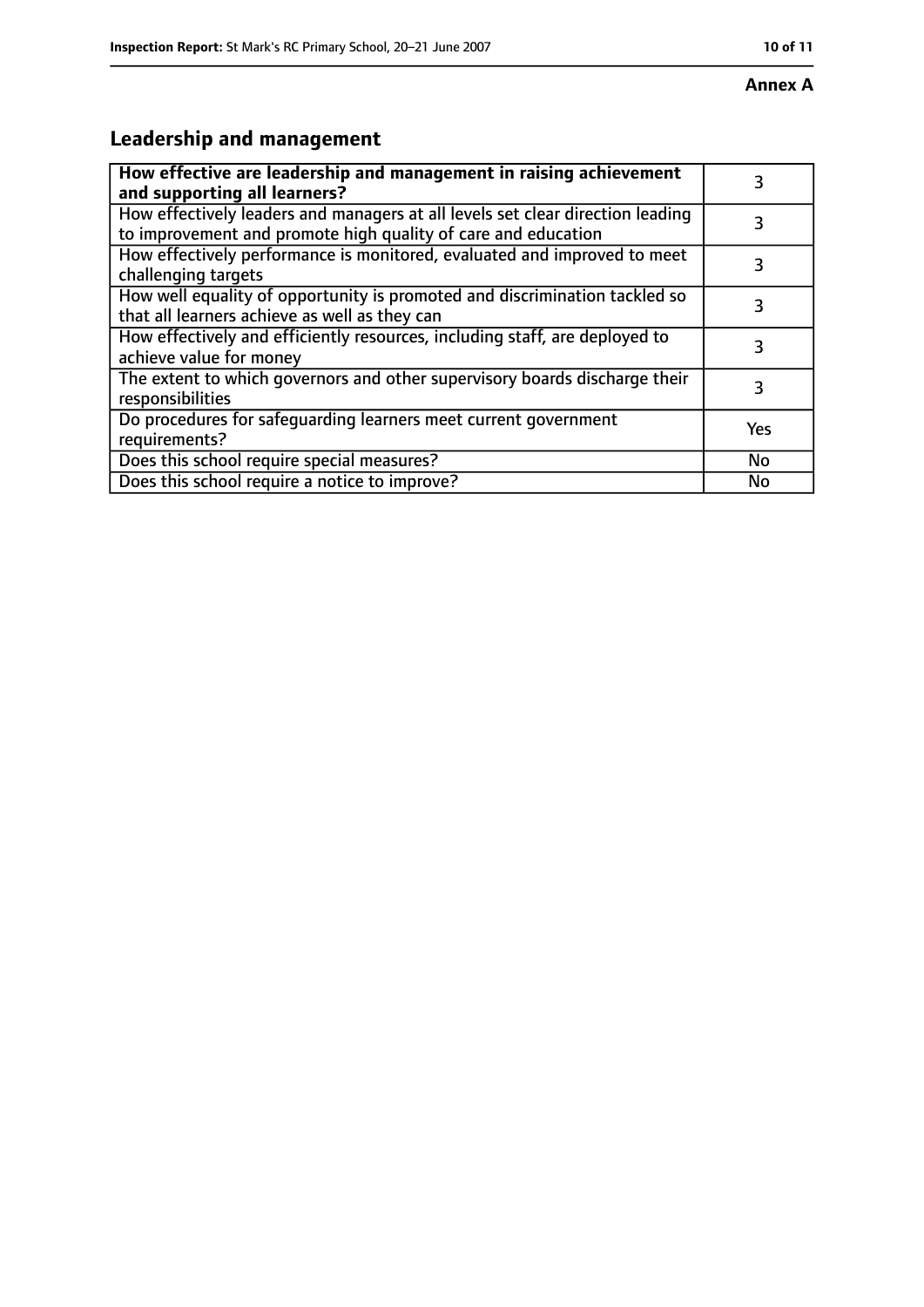# **Leadership and management**

| How effective are leadership and management in raising achievement<br>and supporting all learners?                                              | 3         |
|-------------------------------------------------------------------------------------------------------------------------------------------------|-----------|
| How effectively leaders and managers at all levels set clear direction leading<br>to improvement and promote high quality of care and education |           |
| How effectively performance is monitored, evaluated and improved to meet<br>challenging targets                                                 | 3         |
| How well equality of opportunity is promoted and discrimination tackled so<br>that all learners achieve as well as they can                     | 3         |
| How effectively and efficiently resources, including staff, are deployed to<br>achieve value for money                                          | 3         |
| The extent to which governors and other supervisory boards discharge their<br>responsibilities                                                  | 3         |
| Do procedures for safequarding learners meet current government<br>requirements?                                                                | Yes       |
| Does this school require special measures?                                                                                                      | <b>No</b> |
| Does this school require a notice to improve?                                                                                                   | Nο        |